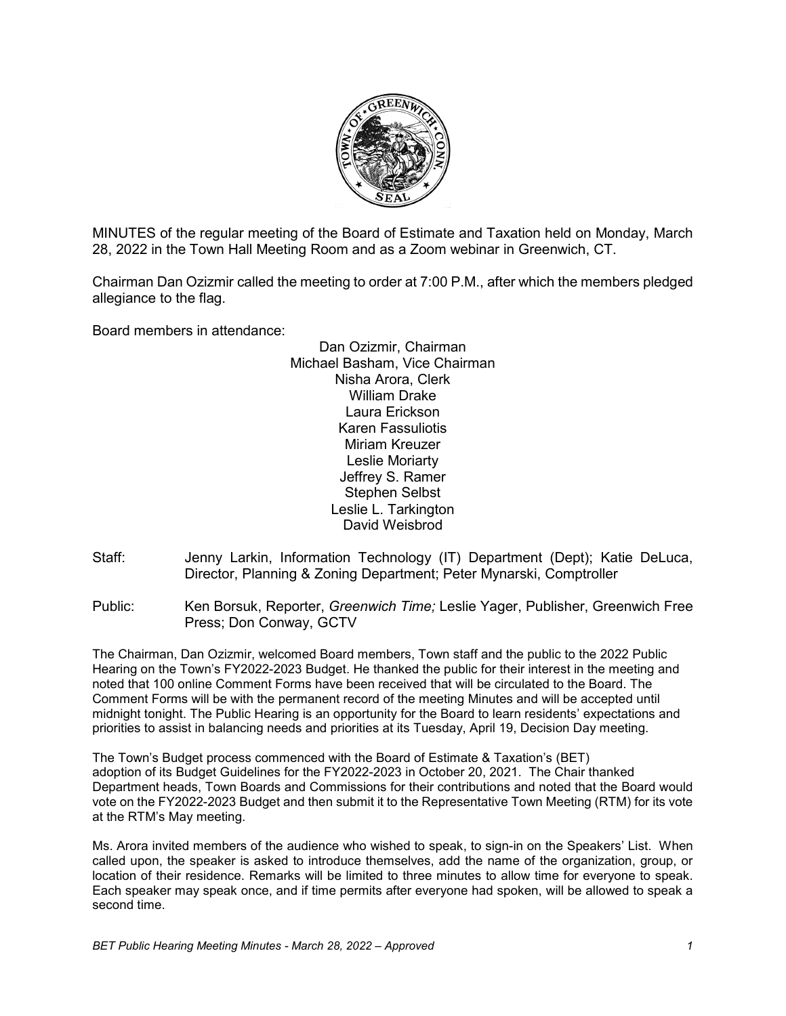

MINUTES of the regular meeting of the Board of Estimate and Taxation held on Monday, March 28, 2022 in the Town Hall Meeting Room and as a Zoom webinar in Greenwich, CT.

Chairman Dan Ozizmir called the meeting to order at 7:00 P.M., after which the members pledged allegiance to the flag.

Board members in attendance:

Dan Ozizmir, Chairman Michael Basham, Vice Chairman Nisha Arora, Clerk William Drake Laura Erickson Karen Fassuliotis Miriam Kreuzer Leslie Moriarty Jeffrey S. Ramer Stephen Selbst Leslie L. Tarkington David Weisbrod

Staff: Jenny Larkin, Information Technology (IT) Department (Dept); Katie DeLuca, Director, Planning & Zoning Department; Peter Mynarski, Comptroller

Public: Ken Borsuk, Reporter, *Greenwich Time;* Leslie Yager, Publisher, Greenwich Free Press; Don Conway, GCTV

The Chairman, Dan Ozizmir, welcomed Board members, Town staff and the public to the 2022 Public Hearing on the Town's FY2022-2023 Budget. He thanked the public for their interest in the meeting and noted that 100 online Comment Forms have been received that will be circulated to the Board. The Comment Forms will be with the permanent record of the meeting Minutes and will be accepted until midnight tonight. The Public Hearing is an opportunity for the Board to learn residents' expectations and priorities to assist in balancing needs and priorities at its Tuesday, April 19, Decision Day meeting.

The Town's Budget process commenced with the Board of Estimate & Taxation's (BET) adoption of its Budget Guidelines for the FY2022-2023 in October 20, 2021. The Chair thanked Department heads, Town Boards and Commissions for their contributions and noted that the Board would vote on the FY2022-2023 Budget and then submit it to the Representative Town Meeting (RTM) for its vote at the RTM's May meeting.

Ms. Arora invited members of the audience who wished to speak, to sign-in on the Speakers' List. When called upon, the speaker is asked to introduce themselves, add the name of the organization, group, or location of their residence. Remarks will be limited to three minutes to allow time for everyone to speak. Each speaker may speak once, and if time permits after everyone had spoken, will be allowed to speak a second time.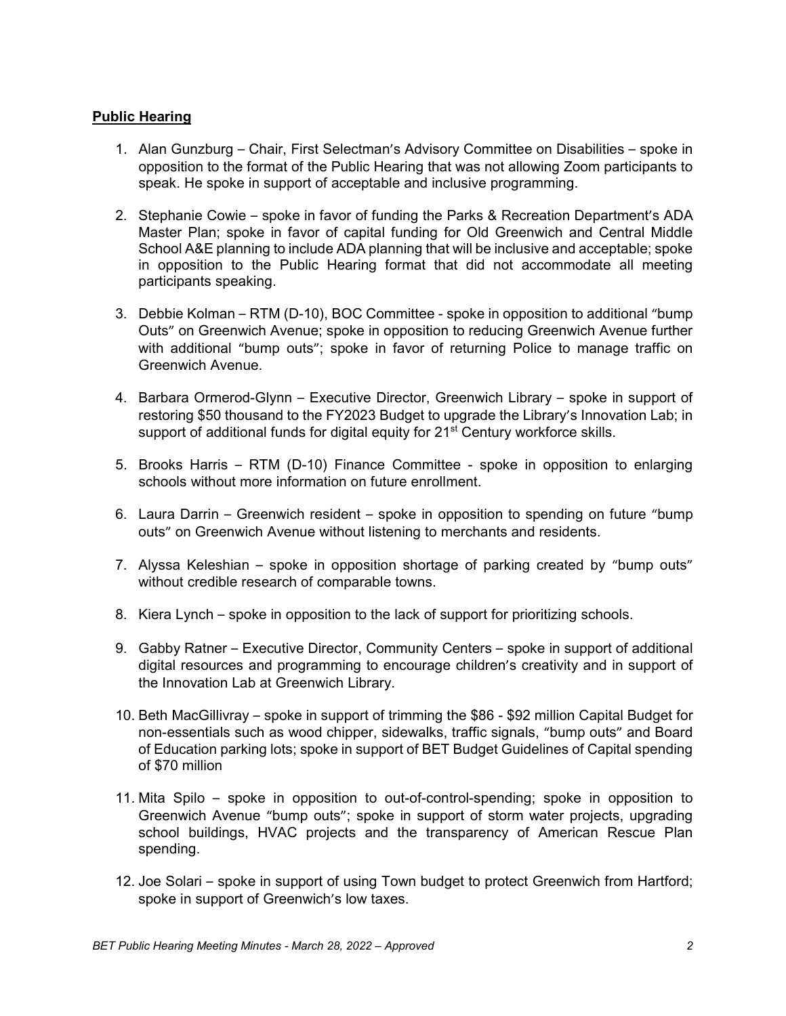## **Public Hearing**

- 1. Alan Gunzburg Chair, First Selectman's Advisory Committee on Disabilities spoke in opposition to the format of the Public Hearing that was not allowing Zoom participants to speak. He spoke in support of acceptable and inclusive programming.
- 2. Stephanie Cowie spoke in favor of funding the Parks & Recreation Department's ADA Master Plan; spoke in favor of capital funding for Old Greenwich and Central Middle School A&E planning to include ADA planning that will be inclusive and acceptable; spoke in opposition to the Public Hearing format that did not accommodate all meeting participants speaking.
- 3. Debbie Kolman RTM (D-10), BOC Committee spoke in opposition to additional "bump Outs" on Greenwich Avenue; spoke in opposition to reducing Greenwich Avenue further with additional "bump outs"; spoke in favor of returning Police to manage traffic on Greenwich Avenue.
- 4. Barbara Ormerod-Glynn Executive Director, Greenwich Library spoke in support of restoring \$50 thousand to the FY2023 Budget to upgrade the Library's Innovation Lab; in support of additional funds for digital equity for 21<sup>st</sup> Century workforce skills.
- 5. Brooks Harris RTM (D-10) Finance Committee spoke in opposition to enlarging schools without more information on future enrollment.
- 6. Laura Darrin Greenwich resident spoke in opposition to spending on future "bump outs" on Greenwich Avenue without listening to merchants and residents.
- 7. Alyssa Keleshian spoke in opposition shortage of parking created by "bump outs" without credible research of comparable towns.
- 8. Kiera Lynch spoke in opposition to the lack of support for prioritizing schools.
- 9. Gabby Ratner Executive Director, Community Centers spoke in support of additional digital resources and programming to encourage children's creativity and in support of the Innovation Lab at Greenwich Library.
- 10. Beth MacGillivray spoke in support of trimming the \$86 \$92 million Capital Budget for non-essentials such as wood chipper, sidewalks, traffic signals, "bump outs" and Board of Education parking lots; spoke in support of BET Budget Guidelines of Capital spending of \$70 million
- 11. Mita Spilo spoke in opposition to out-of-control-spending; spoke in opposition to Greenwich Avenue "bump outs"; spoke in support of storm water projects, upgrading school buildings, HVAC projects and the transparency of American Rescue Plan spending.
- 12. Joe Solari spoke in support of using Town budget to protect Greenwich from Hartford; spoke in support of Greenwich's low taxes.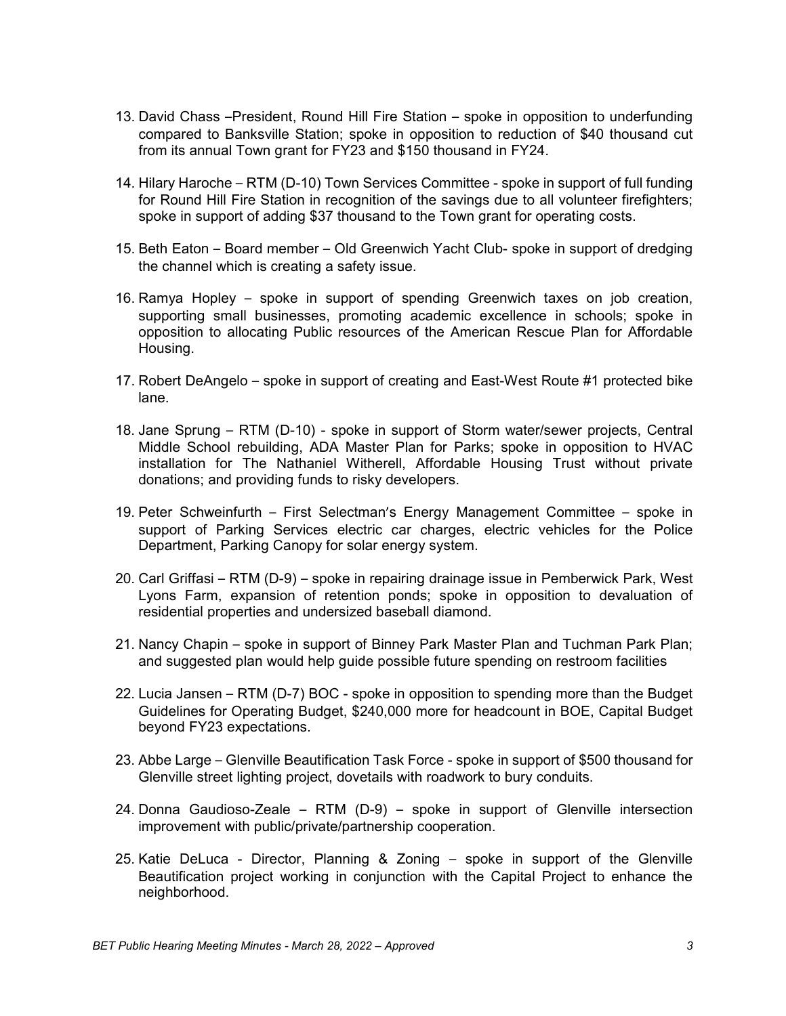- 13. David Chass –President, Round Hill Fire Station spoke in opposition to underfunding compared to Banksville Station; spoke in opposition to reduction of \$40 thousand cut from its annual Town grant for FY23 and \$150 thousand in FY24.
- 14. Hilary Haroche RTM (D-10) Town Services Committee spoke in support of full funding for Round Hill Fire Station in recognition of the savings due to all volunteer firefighters; spoke in support of adding \$37 thousand to the Town grant for operating costs.
- 15. Beth Eaton Board member Old Greenwich Yacht Club- spoke in support of dredging the channel which is creating a safety issue.
- 16. Ramya Hopley spoke in support of spending Greenwich taxes on job creation, supporting small businesses, promoting academic excellence in schools; spoke in opposition to allocating Public resources of the American Rescue Plan for Affordable Housing.
- 17. Robert DeAngelo spoke in support of creating and East-West Route #1 protected bike lane.
- 18. Jane Sprung RTM (D-10) spoke in support of Storm water/sewer projects, Central Middle School rebuilding, ADA Master Plan for Parks; spoke in opposition to HVAC installation for The Nathaniel Witherell, Affordable Housing Trust without private donations; and providing funds to risky developers.
- 19. Peter Schweinfurth First Selectman's Energy Management Committee spoke in support of Parking Services electric car charges, electric vehicles for the Police Department, Parking Canopy for solar energy system.
- 20. Carl Griffasi RTM (D-9) spoke in repairing drainage issue in Pemberwick Park, West Lyons Farm, expansion of retention ponds; spoke in opposition to devaluation of residential properties and undersized baseball diamond.
- 21. Nancy Chapin spoke in support of Binney Park Master Plan and Tuchman Park Plan; and suggested plan would help guide possible future spending on restroom facilities
- 22. Lucia Jansen RTM (D-7) BOC spoke in opposition to spending more than the Budget Guidelines for Operating Budget, \$240,000 more for headcount in BOE, Capital Budget beyond FY23 expectations.
- 23. Abbe Large Glenville Beautification Task Force spoke in support of \$500 thousand for Glenville street lighting project, dovetails with roadwork to bury conduits.
- 24. Donna Gaudioso-Zeale RTM (D-9) spoke in support of Glenville intersection improvement with public/private/partnership cooperation.
- 25. Katie DeLuca Director, Planning & Zoning spoke in support of the Glenville Beautification project working in conjunction with the Capital Project to enhance the neighborhood.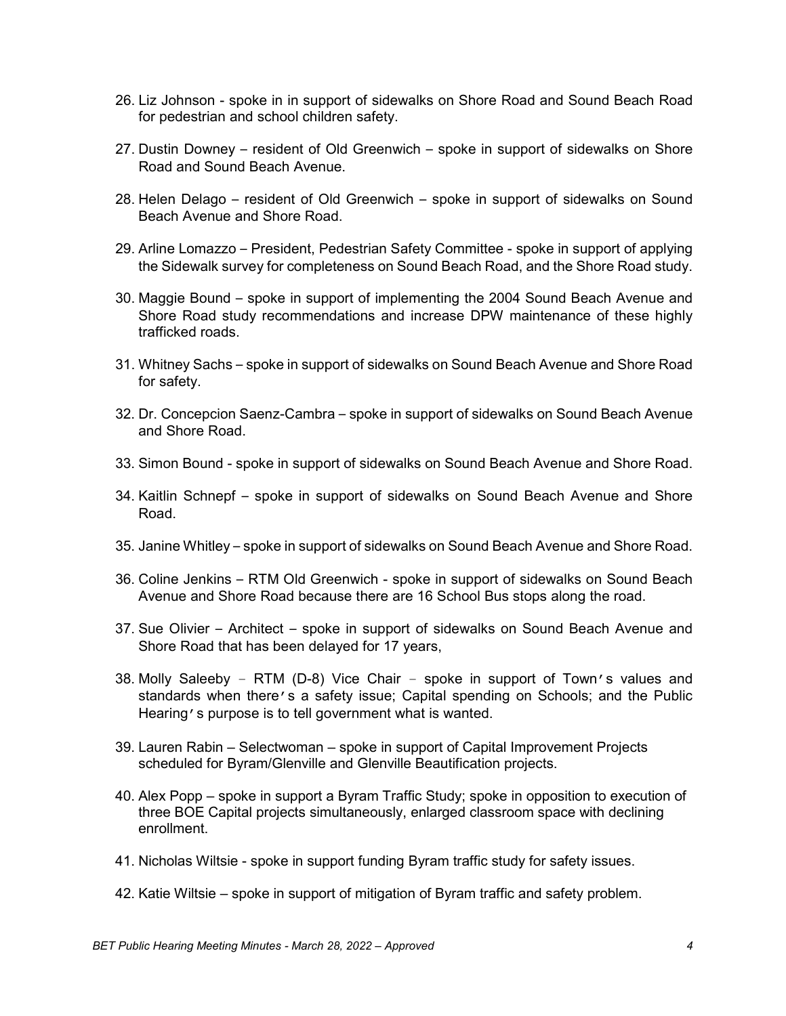- 26. Liz Johnson spoke in in support of sidewalks on Shore Road and Sound Beach Road for pedestrian and school children safety.
- 27. Dustin Downey resident of Old Greenwich spoke in support of sidewalks on Shore Road and Sound Beach Avenue.
- 28. Helen Delago resident of Old Greenwich spoke in support of sidewalks on Sound Beach Avenue and Shore Road.
- 29. Arline Lomazzo President, Pedestrian Safety Committee spoke in support of applying the Sidewalk survey for completeness on Sound Beach Road, and the Shore Road study.
- 30. Maggie Bound spoke in support of implementing the 2004 Sound Beach Avenue and Shore Road study recommendations and increase DPW maintenance of these highly trafficked roads.
- 31. Whitney Sachs spoke in support of sidewalks on Sound Beach Avenue and Shore Road for safety.
- 32. Dr. Concepcion Saenz-Cambra spoke in support of sidewalks on Sound Beach Avenue and Shore Road.
- 33. Simon Bound spoke in support of sidewalks on Sound Beach Avenue and Shore Road.
- 34. Kaitlin Schnepf spoke in support of sidewalks on Sound Beach Avenue and Shore Road.
- 35. Janine Whitley spoke in support of sidewalks on Sound Beach Avenue and Shore Road.
- 36. Coline Jenkins RTM Old Greenwich spoke in support of sidewalks on Sound Beach Avenue and Shore Road because there are 16 School Bus stops along the road.
- 37. Sue Olivier Architect spoke in support of sidewalks on Sound Beach Avenue and Shore Road that has been delayed for 17 years,
- 38. Molly Saleeby RTM (D-8) Vice Chair spoke in support of Town's values and standards when there's a safety issue; Capital spending on Schools; and the Public Hearing's purpose is to tell government what is wanted.
- 39. Lauren Rabin Selectwoman spoke in support of Capital Improvement Projects scheduled for Byram/Glenville and Glenville Beautification projects.
- 40. Alex Popp spoke in support a Byram Traffic Study; spoke in opposition to execution of three BOE Capital projects simultaneously, enlarged classroom space with declining enrollment.
- 41. Nicholas Wiltsie spoke in support funding Byram traffic study for safety issues.
- 42. Katie Wiltsie spoke in support of mitigation of Byram traffic and safety problem.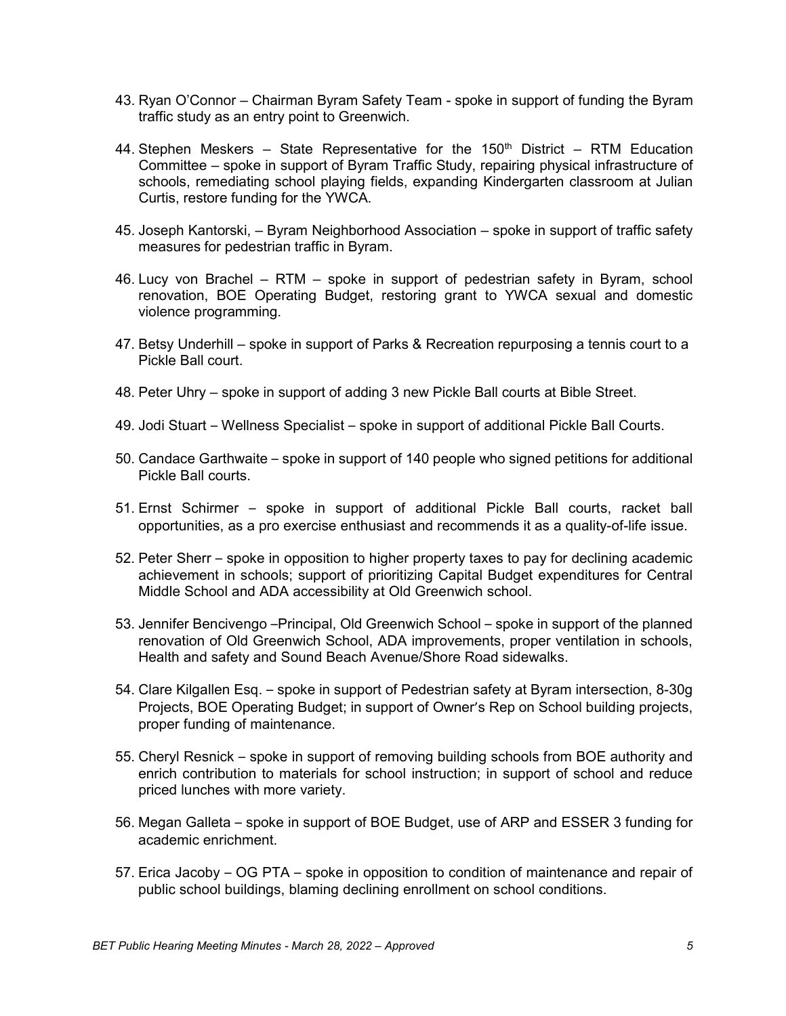- 43. Ryan O'Connor Chairman Byram Safety Team spoke in support of funding the Byram traffic study as an entry point to Greenwich.
- 44. Stephen Meskers State Representative for the  $150<sup>th</sup>$  District RTM Education Committee – spoke in support of Byram Traffic Study, repairing physical infrastructure of schools, remediating school playing fields, expanding Kindergarten classroom at Julian Curtis, restore funding for the YWCA.
- 45. Joseph Kantorski, Byram Neighborhood Association spoke in support of traffic safety measures for pedestrian traffic in Byram.
- 46. Lucy von Brachel RTM spoke in support of pedestrian safety in Byram, school renovation, BOE Operating Budget, restoring grant to YWCA sexual and domestic violence programming.
- 47. Betsy Underhill spoke in support of Parks & Recreation repurposing a tennis court to a Pickle Ball court.
- 48. Peter Uhry spoke in support of adding 3 new Pickle Ball courts at Bible Street.
- 49. Jodi Stuart Wellness Specialist spoke in support of additional Pickle Ball Courts.
- 50. Candace Garthwaite spoke in support of 140 people who signed petitions for additional Pickle Ball courts.
- 51. Ernst Schirmer spoke in support of additional Pickle Ball courts, racket ball opportunities, as a pro exercise enthusiast and recommends it as a quality-of-life issue.
- 52. Peter Sherr spoke in opposition to higher property taxes to pay for declining academic achievement in schools; support of prioritizing Capital Budget expenditures for Central Middle School and ADA accessibility at Old Greenwich school.
- 53. Jennifer Bencivengo –Principal, Old Greenwich School spoke in support of the planned renovation of Old Greenwich School, ADA improvements, proper ventilation in schools, Health and safety and Sound Beach Avenue/Shore Road sidewalks.
- 54. Clare Kilgallen Esq. spoke in support of Pedestrian safety at Byram intersection, 8-30g Projects, BOE Operating Budget; in support of Owner's Rep on School building projects, proper funding of maintenance.
- 55. Cheryl Resnick spoke in support of removing building schools from BOE authority and enrich contribution to materials for school instruction; in support of school and reduce priced lunches with more variety.
- 56. Megan Galleta spoke in support of BOE Budget, use of ARP and ESSER 3 funding for academic enrichment.
- 57. Erica Jacoby OG PTA spoke in opposition to condition of maintenance and repair of public school buildings, blaming declining enrollment on school conditions.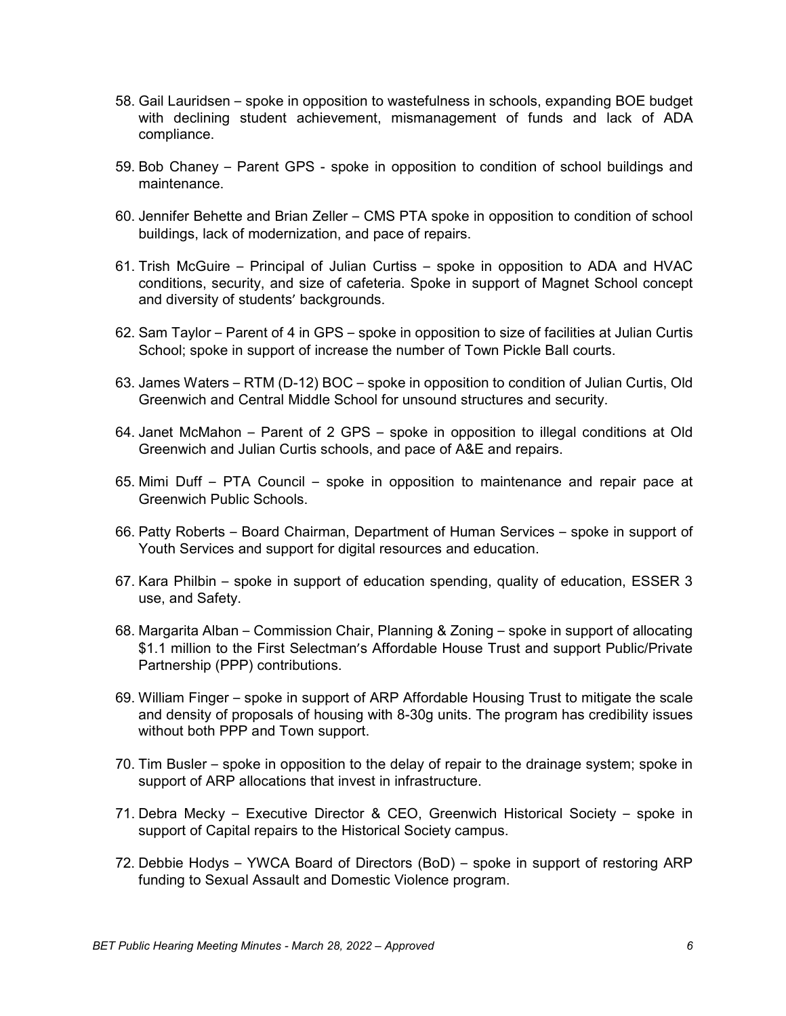- 58. Gail Lauridsen spoke in opposition to wastefulness in schools, expanding BOE budget with declining student achievement, mismanagement of funds and lack of ADA compliance.
- 59. Bob Chaney Parent GPS spoke in opposition to condition of school buildings and maintenance.
- 60. Jennifer Behette and Brian Zeller CMS PTA spoke in opposition to condition of school buildings, lack of modernization, and pace of repairs.
- 61. Trish McGuire Principal of Julian Curtiss spoke in opposition to ADA and HVAC conditions, security, and size of cafeteria. Spoke in support of Magnet School concept and diversity of students' backgrounds.
- 62. Sam Taylor Parent of 4 in GPS spoke in opposition to size of facilities at Julian Curtis School; spoke in support of increase the number of Town Pickle Ball courts.
- 63. James Waters RTM (D-12) BOC spoke in opposition to condition of Julian Curtis, Old Greenwich and Central Middle School for unsound structures and security.
- 64. Janet McMahon Parent of 2 GPS spoke in opposition to illegal conditions at Old Greenwich and Julian Curtis schools, and pace of A&E and repairs.
- 65. Mimi Duff PTA Council spoke in opposition to maintenance and repair pace at Greenwich Public Schools.
- 66. Patty Roberts Board Chairman, Department of Human Services spoke in support of Youth Services and support for digital resources and education.
- 67. Kara Philbin spoke in support of education spending, quality of education, ESSER 3 use, and Safety.
- 68. Margarita Alban Commission Chair, Planning & Zoning spoke in support of allocating \$1.1 million to the First Selectman's Affordable House Trust and support Public/Private Partnership (PPP) contributions.
- 69. William Finger spoke in support of ARP Affordable Housing Trust to mitigate the scale and density of proposals of housing with 8-30g units. The program has credibility issues without both PPP and Town support.
- 70. Tim Busler spoke in opposition to the delay of repair to the drainage system; spoke in support of ARP allocations that invest in infrastructure.
- 71. Debra Mecky Executive Director & CEO, Greenwich Historical Society spoke in support of Capital repairs to the Historical Society campus.
- 72. Debbie Hodys YWCA Board of Directors (BoD) spoke in support of restoring ARP funding to Sexual Assault and Domestic Violence program.